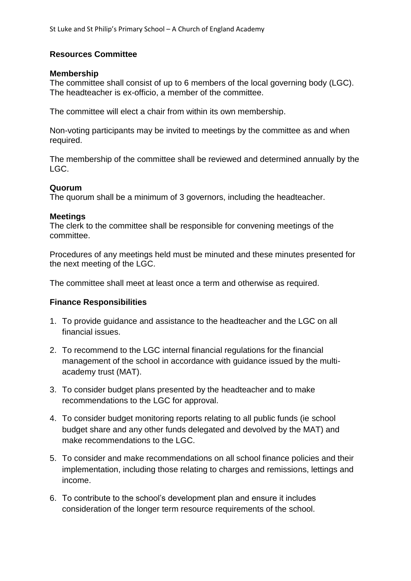# **Resources Committee**

#### **Membership**

The committee shall consist of up to 6 members of the local governing body (LGC). The headteacher is ex-officio, a member of the committee.

The committee will elect a chair from within its own membership.

Non-voting participants may be invited to meetings by the committee as and when required.

The membership of the committee shall be reviewed and determined annually by the LGC.

## **Quorum**

The quorum shall be a minimum of 3 governors, including the headteacher.

### **Meetings**

The clerk to the committee shall be responsible for convening meetings of the committee.

Procedures of any meetings held must be minuted and these minutes presented for the next meeting of the LGC.

The committee shall meet at least once a term and otherwise as required.

## **Finance Responsibilities**

- 1. To provide guidance and assistance to the headteacher and the LGC on all financial issues.
- 2. To recommend to the LGC internal financial regulations for the financial management of the school in accordance with guidance issued by the multiacademy trust (MAT).
- 3. To consider budget plans presented by the headteacher and to make recommendations to the LGC for approval.
- 4. To consider budget monitoring reports relating to all public funds (ie school budget share and any other funds delegated and devolved by the MAT) and make recommendations to the LGC.
- 5. To consider and make recommendations on all school finance policies and their implementation, including those relating to charges and remissions, lettings and income.
- 6. To contribute to the school's development plan and ensure it includes consideration of the longer term resource requirements of the school.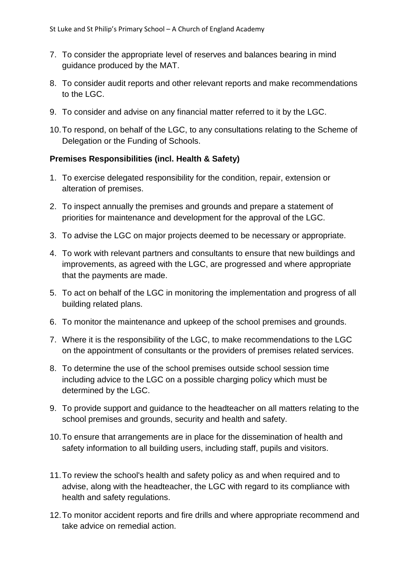- 7. To consider the appropriate level of reserves and balances bearing in mind guidance produced by the MAT.
- 8. To consider audit reports and other relevant reports and make recommendations to the LGC.
- 9. To consider and advise on any financial matter referred to it by the LGC.
- 10.To respond, on behalf of the LGC, to any consultations relating to the Scheme of Delegation or the Funding of Schools.

## **Premises Responsibilities (incl. Health & Safety)**

- 1. To exercise delegated responsibility for the condition, repair, extension or alteration of premises.
- 2. To inspect annually the premises and grounds and prepare a statement of priorities for maintenance and development for the approval of the LGC.
- 3. To advise the LGC on major projects deemed to be necessary or appropriate.
- 4. To work with relevant partners and consultants to ensure that new buildings and improvements, as agreed with the LGC, are progressed and where appropriate that the payments are made.
- 5. To act on behalf of the LGC in monitoring the implementation and progress of all building related plans.
- 6. To monitor the maintenance and upkeep of the school premises and grounds.
- 7. Where it is the responsibility of the LGC, to make recommendations to the LGC on the appointment of consultants or the providers of premises related services.
- 8. To determine the use of the school premises outside school session time including advice to the LGC on a possible charging policy which must be determined by the LGC.
- 9. To provide support and guidance to the headteacher on all matters relating to the school premises and grounds, security and health and safety.
- 10.To ensure that arrangements are in place for the dissemination of health and safety information to all building users, including staff, pupils and visitors.
- 11.To review the school's health and safety policy as and when required and to advise, along with the headteacher, the LGC with regard to its compliance with health and safety regulations.
- 12.To monitor accident reports and fire drills and where appropriate recommend and take advice on remedial action.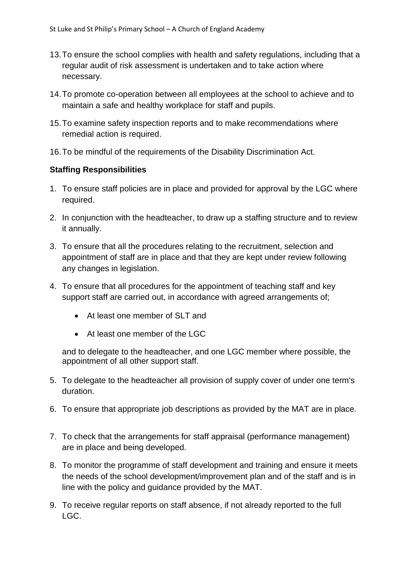- 13.To ensure the school complies with health and safety regulations, including that a regular audit of risk assessment is undertaken and to take action where necessary.
- 14.To promote co-operation between all employees at the school to achieve and to maintain a safe and healthy workplace for staff and pupils.
- 15.To examine safety inspection reports and to make recommendations where remedial action is required.
- 16.To be mindful of the requirements of the Disability Discrimination Act.

# **Staffing Responsibilities**

- 1. To ensure staff policies are in place and provided for approval by the LGC where required.
- 2. In conjunction with the headteacher, to draw up a staffing structure and to review it annually.
- 3. To ensure that all the procedures relating to the recruitment, selection and appointment of staff are in place and that they are kept under review following any changes in legislation.
- 4. To ensure that all procedures for the appointment of teaching staff and key support staff are carried out, in accordance with agreed arrangements of;
	- At least one member of SLT and
	- At least one member of the LGC

and to delegate to the headteacher, and one LGC member where possible, the appointment of all other support staff.

- 5. To delegate to the headteacher all provision of supply cover of under one term's duration.
- 6. To ensure that appropriate job descriptions as provided by the MAT are in place.
- 7. To check that the arrangements for staff appraisal (performance management) are in place and being developed.
- 8. To monitor the programme of staff development and training and ensure it meets the needs of the school development/improvement plan and of the staff and is in line with the policy and guidance provided by the MAT.
- 9. To receive regular reports on staff absence, if not already reported to the full LGC.